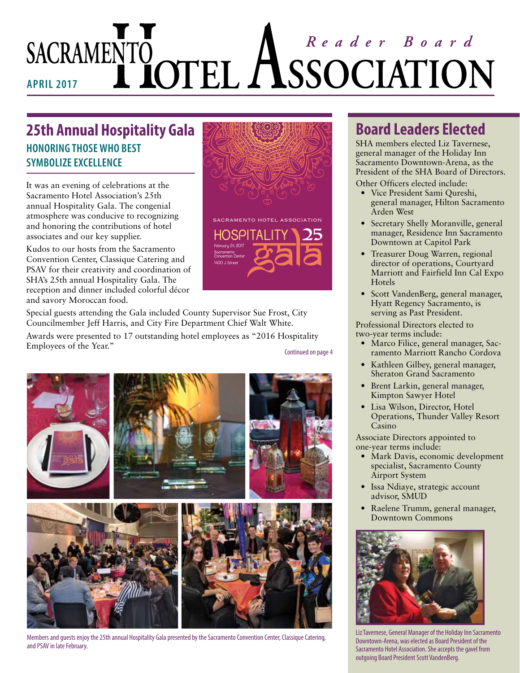# SACRAMENTO<br> **APRIL 2017 LOTEL ASSOCIATION**

## **25th Annual Hospitality Gala HONORING THOSE WHO BEST SYMBOLIZE EXCELLENCE**

It was an evening of celebrations at the Sacramento Hotel Association's 25th annual Hospitality Gala. The congenial atmosphere was conducive to recognizing and honoring the contributions of hotel associates and our key supplier.

Kudos to our hosts from the Sacramento Convention Center, Classique Catering and PSAV for their creativity and coordination of SHA's 25th annual Hospitality Gala. The reception and dinner included colorful décor and savory Moroccan food.

Special guests attending the Gala included County Supervisor Sue Frost, City Councilmember Jeff Harris, and City Fire Department Chief Walt White.

Awards were presented to 17 outstanding hotel employees as "2016 Hospitality Employees of the Year."

Continued on page 4



Members and guests enjoy the 25th annual Hospitality Gala presented by the Sacramento Convention Center, Classique Catering, and PSAV in late February.

## **Board Leaders Elected**

SHA members elected Liz Tavernese, general manager of the Holiday Inn Sacramento Downtown-Arena, as the President of the SHA Board of Directors.

Other Officers elected include:

- Vice President Sami Qureshi, general manager, Hilton Sacramento Arden West
- Secretary Shelly Moranville, general manager, Residence Inn Sacramento Downtown at Capitol Park
- Treasurer Doug Warren, regional director of operations, Courtyard Marriott and Fairfield Inn Cal Expo **Hotels**
- Scott VandenBerg, general manager, Hyatt Regency Sacramento, is serving as Past President.

Professional Directors elected to two-year terms include:

- Marco Filice, general manager, Sacramento Marriott Rancho Cordova
- Kathleen Gilbey, general manager, Sheraton Grand Sacramento
- Brent Larkin, general manager, Kimpton Sawyer Hotel
- Lisa Wilson, Director, Hotel Operations, Thunder Valley Resort Casino

Associate Directors appointed to one-year terms include:

- Mark Davis, economic development specialist, Sacramento County Airport System
- Issa Ndiaye, strategic account advisor, SMUD
- Raelene Trumm, general manager, Downtown Commons



Liz Tavernese, General Manager of the Holiday Inn Sacramento Downtown-Arena, was elected as Board President of the Sacramento Hotel Association. She accepts the gavel from outgoing Board President Scott VandenBerg.

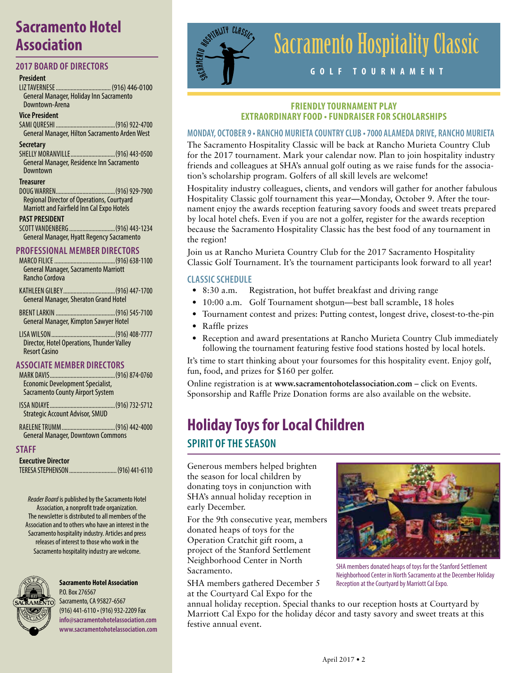## **Sacramento Hotel Association**

#### **2017 BOARD OF DIRECTORS**

#### **President**

LIZ TAVERNESE..................................... (916) 446-0100 General Manager, Holiday Inn Sacramento Downtown-Arena

#### **Vice President**

SAMI QURESHI ........................................(916) 922-4700 General Manager, Hilton Sacramento Arden West

#### **Secretary**

SHELLY MORANVILLE..............................(916) 443-0500 General Manager, Residence Inn Sacramento Downtown

#### **Treasurer**

DOUG WARREN........................................(916) 929-7900 Regional Director of Operations, Courtyard Marriott and Fairfield Inn Cal Expo Hotels

#### **PAST PRESIDENT**

SCOTT VANDENBERG ...............................(916) 443-1234 General Manager, Hyatt Regency Sacramento

## **PROFESSIONAL MEMBER DIRECTORS**

MARCO FILICE .........................................(916) 638-1100 General Manager, Sacramento Marriott Rancho Cordova

KATHLEEN GILBEY...................................(916) 447-1700 General Manager, Sheraton Grand Hotel

BRENT LARKIN ........................................(916) 545-7100 General Manager, Kimpton Sawyer Hotel

LISA WILSON...........................................(916) 408-7777 Director, Hotel Operations, Thunder Valley Resort Casino

## **ASSOCIATE MEMBER DIRECTORS**

MARK DAVIS.......................... Economic Development Specialist, Sacramento County Airport System

ISSA NDIAYE............................................(916) 732-5712 Strategic Account Advisor, SMUD

RAELENE TRUMM....................................(916) 442-4000 General Manager, Downtown Commons

#### **STAFF**

**Executive Director** TERESA STEPHENSON................................(916) 441-6110

*Reader Board* is published by the Sacramento Hotel Association, a nonprofit trade organization. The newsletter is distributed to all members of the Association and to others who have an interest in the Sacramento hospitality industry. Articles and press releases of interest to those who work in the Sacramento hospitality industry are welcome.



**Sacramento Hotel Association** P.O. Box 276567 Sacramento, CA 95827-6567

(916) 441-6110 • (916) 932-2209 Fax **info@sacramentohotelassociation.com www.sacramentohotelassociation.com**



# Sacramento Hospitality Classic

## **GOLF TOURNAMENT**

#### **FRIENDLY TOURNAMENT PLAY EXTRAORDINARY FOOD • FUNDRAISER FOR SCHOLARSHIPS**

#### **MONDAY, OCTOBER 9 • RANCHO MURIETA COUNTRY CLUB • 7000 ALAMEDA DRIVE, RANCHO MURIETA**

The Sacramento Hospitality Classic will be back at Rancho Murieta Country Club for the 2017 tournament. Mark your calendar now. Plan to join hospitality industry friends and colleagues at SHA's annual golf outing as we raise funds for the association's scholarship program. Golfers of all skill levels are welcome!

Hospitality industry colleagues, clients, and vendors will gather for another fabulous Hospitality Classic golf tournament this year—Monday, October 9. After the tournament enjoy the awards reception featuring savory foods and sweet treats prepared by local hotel chefs. Even if you are not a golfer, register for the awards reception because the Sacramento Hospitality Classic has the best food of any tournament in the region!

Join us at Rancho Murieta Country Club for the 2017 Sacramento Hospitality Classic Golf Tournament. It's the tournament participants look forward to all year!

#### **CLASSIC SCHEDULE**

- 8:30 a.m. Registration, hot buffet breakfast and driving range
- 10:00 a.m. Golf Tournament shotgun—best ball scramble, 18 holes
- Tournament contest and prizes: Putting contest, longest drive, closest-to-the-pin
- Raffle prizes
- Reception and award presentations at Rancho Murieta Country Club immediately following the tournament featuring festive food stations hosted by local hotels.

It's time to start thinking about your foursomes for this hospitality event. Enjoy golf, fun, food, and prizes for \$160 per golfer.

Online registration is at **www.sacramentohotelassociation.com** – click on Events. Sponsorship and Raffle Prize Donation forms are also available on the website.

# **Holiday Toys for Local Children**

## **SPIRIT OF THE SEASON**

Generous members helped brighten the season for local children by donating toys in conjunction with SHA's annual holiday reception in early December.

For the 9th consecutive year, members donated heaps of toys for the Operation Cratchit gift room, a project of the Stanford Settlement Neighborhood Center in North Sacramento.

SHA members gathered December 5 at the Courtyard Cal Expo for the



SHA members donated heaps of toys for the Stanford Settlement Neighborhood Center in North Sacramento at the December Holiday Reception at the Courtyard by Marriott Cal Expo.

annual holiday reception. Special thanks to our reception hosts at Courtyard by Marriott Cal Expo for the holiday décor and tasty savory and sweet treats at this festive annual event.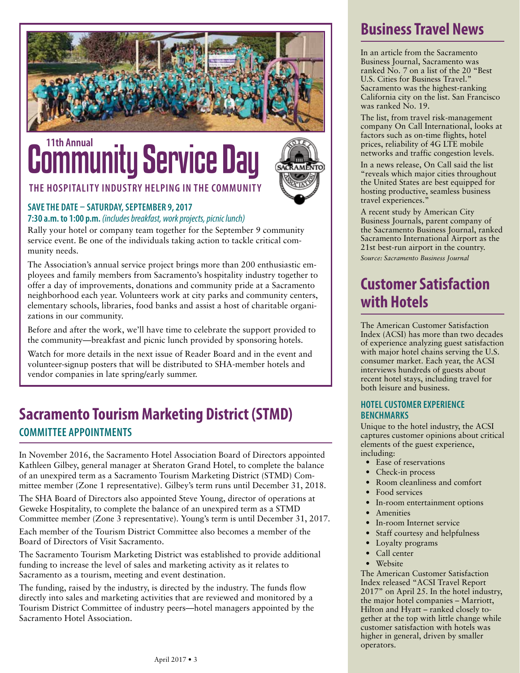

## Community Service Day **11th Annual**



## **THE HOSPITALITY INDUSTRY HELPING IN THE COMMUNITY**

## **SAVE THE DATE – SATURDAY, SEPTEMBER 9, 2017**

**7:30 a.m. to 1:00 p.m.** *(includes breakfast, work projects, picnic lunch)*

Rally your hotel or company team together for the September 9 community service event. Be one of the individuals taking action to tackle critical community needs.

The Association's annual service project brings more than 200 enthusiastic employees and family members from Sacramento's hospitality industry together to offer a day of improvements, donations and community pride at a Sacramento neighborhood each year. Volunteers work at city parks and community centers, elementary schools, libraries, food banks and assist a host of charitable organizations in our community.

Before and after the work, we'll have time to celebrate the support provided to the community—breakfast and picnic lunch provided by sponsoring hotels.

Watch for more details in the next issue of Reader Board and in the event and volunteer-signup posters that will be distributed to SHA-member hotels and vendor companies in late spring/early summer.

## **Sacramento Tourism Marketing District (STMD) COMMITTEE APPOINTMENTS**

In November 2016, the Sacramento Hotel Association Board of Directors appointed Kathleen Gilbey, general manager at Sheraton Grand Hotel, to complete the balance of an unexpired term as a Sacramento Tourism Marketing District (STMD) Committee member (Zone 1 representative). Gilbey's term runs until December 31, 2018.

The SHA Board of Directors also appointed Steve Young, director of operations at Geweke Hospitality, to complete the balance of an unexpired term as a STMD Committee member (Zone 3 representative). Young's term is until December 31, 2017.

Each member of the Tourism District Committee also becomes a member of the Board of Directors of Visit Sacramento.

The Sacramento Tourism Marketing District was established to provide additional funding to increase the level of sales and marketing activity as it relates to Sacramento as a tourism, meeting and event destination.

The funding, raised by the industry, is directed by the industry. The funds flow directly into sales and marketing activities that are reviewed and monitored by a Tourism District Committee of industry peers—hotel managers appointed by the Sacramento Hotel Association.

## **Business Travel News**

In an article from the Sacramento Business Journal, Sacramento was ranked No. 7 on a list of the 20 "Best U.S. Cities for Business Travel." Sacramento was the highest-ranking California city on the list. San Francisco was ranked No. 19.

The list, from travel risk-management company On Call International, looks at factors such as on-time flights, hotel prices, reliability of 4G LTE mobile networks and traffic congestion levels.

In a news release, On Call said the list "reveals which major cities throughout the United States are best equipped for hosting productive, seamless business travel experiences."

A recent study by American City Business Journals, parent company of the Sacramento Business Journal, ranked Sacramento International Airport as the 21st best-run airport in the country. *Source: Sacramento Business Journal*

## **Customer Satisfaction with Hotels**

The American Customer Satisfaction Index (ACSI) has more than two decades of experience analyzing guest satisfaction with major hotel chains serving the U.S. consumer market. Each year, the ACSI interviews hundreds of guests about recent hotel stays, including travel for both leisure and business.

## **HOTEL CUSTOMER EXPERIENCE BENCHMARKS**

Unique to the hotel industry, the ACSI captures customer opinions about critical elements of the guest experience, including:

- Ease of reservations
- Check-in process
- Room cleanliness and comfort
- Food services
- In-room entertainment options
- Amenities
- In-room Internet service
- Staff courtesy and helpfulness
- Loyalty programs
- Call center
- Website

The American Customer Satisfaction Index released "ACSI Travel Report 2017" on April 25. In the hotel industry, the major hotel companies – Marriott, Hilton and Hyatt – ranked closely together at the top with little change while customer satisfaction with hotels was higher in general, driven by smaller operators.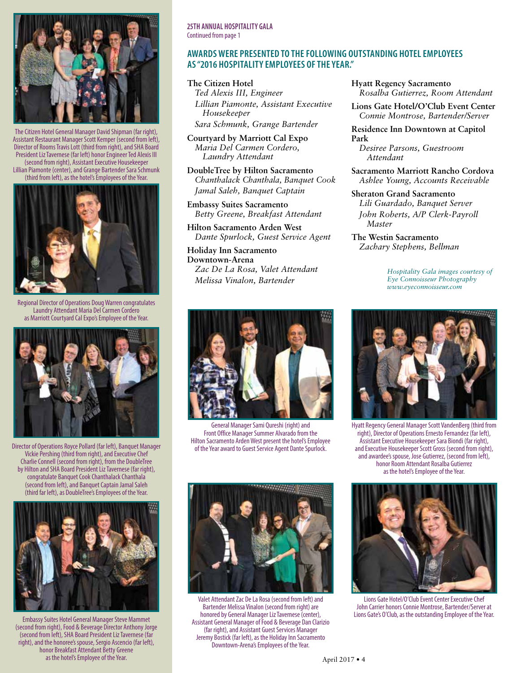

The Citizen Hotel General Manager David Shipman (far right), Assistant Restaurant Manager Scott Kemper (second from left), Director of Rooms Travis Lott (third from right), and SHA Board President Liz Tavernese (far left) honor Engineer Ted Alexis III (second from right), Assistant Executive Housekeeper Lillian Piamonte (center), and Grange Bartender Sara Schmunk (third from left), as the hotel's Employees of the Year.



egional Director of Operations Doug Warren congratulates Laundry Attendant Maria Del Carmen Cordero as Marriott Courtyard Cal Expo's Employee of the Year.



Director of Operations Royce Pollard (far left), Banquet Manager of the Year award to Guest Service Agent Dante Spurlock. Vickie Pershing (third from right), and Executive Chef Charlie Connell (second from right), from the DoubleTree by Hilton and SHA Board President Liz Tavernese (far right), congratulate Banquet Cook Chanthalack Chanthala (second from left), and Banquet Captain Jamal Saleh (third far left), as DoubleTree's Employees of the Year.



Embassy Suites Hotel General Manager Steve Mammet (second from right), Food & Beverage Director Anthony Jorge (second from left), SHA Board President Liz Tavernese (far right), and the honoree's spouse, Sergio Ascencio (far left), honor Breakfast Attendant Betty Greene as the hotel's Employee of the Year.

## **AWARDS WERE PRESENTED TO THE FOLLOWING OUTSTANDING HOTEL EMPLOYEES AS "2016 HOSPITALITY EMPLOYEES OF THE YEAR."**

**The Citizen Hotel** *Ted Alexis III, Engineer Lillian Piamonte, Assistant Executive Housekeeper Sara Schmunk, Grange Bartender*

**Courtyard by Marriott Cal Expo** *Maria Del Carmen Cordero, Laundry Attendant*

**DoubleTree by Hilton Sacramento** *Chanthalack Chanthala, Banquet Cook Jamal Saleh, Banquet Captain*

**Embassy Suites Sacramento** *Betty Greene, Breakfast Attendant*

**Hilton Sacramento Arden West** *Dante Spurlock, Guest Service Agent*

**Holiday Inn Sacramento Downtown-Arena** *Zac De La Rosa, Valet Attendant Melissa Vinalon, Bartender*



**Lions Gate Hotel/O'Club Event Center** *Connie Montrose, Bartender/Server*

**Residence Inn Downtown at Capitol Park**

*Desiree Parsons, Guestroom Attendant*

**Sacramento Marriott Rancho Cordova** *Ashlee Young, Accounts Receivable*

**Sheraton Grand Sacramento** *Lili Guardado, Banquet Server John Roberts, A/P Clerk-Payroll Master*

**The Westin Sacramento** *Zachary Stephens, Bellman*

> *Hospitality Gala images courtesy of Eye Connoisseur Photography www.eyeconnoisseur.com*



General Manager Sami Qureshi (right) and Front Office Manager Summer Alvarado from the Hilton Sacramento Arden West present the hotel's Employee



Valet Attendant Zac De La Rosa (second from left) and Bartender Melissa Vinalon (second from right) are honored by General Manager Liz Tavernese (center), Assistant General Manager of Food & Beverage Dan Clarizio (far right), and Assistant Guest Services Manager Jeremy Bostick (far left), as the Holiday Inn Sacramento Downtown-Arena's Employees of the Year.



Hyatt Regency General Manager Scott VandenBerg (third from right), Director of Operations Ernesto Fernandez (far left), Assistant Executive Housekeeper Sara Biondi (far right), and Executive Housekeeper Scott Gross (second from right), and awardee's spouse, Jose Gutierrez, (second from left), honor Room Attendant Rosalba Gutierrez as the hotel's Employee of the Year.



Lions Gate Hotel/O'Club Event Center Executive Chef John Carrier honors Connie Montrose, Bartender/Server at Lions Gate's O'Club, as the outstanding Employee of the Year.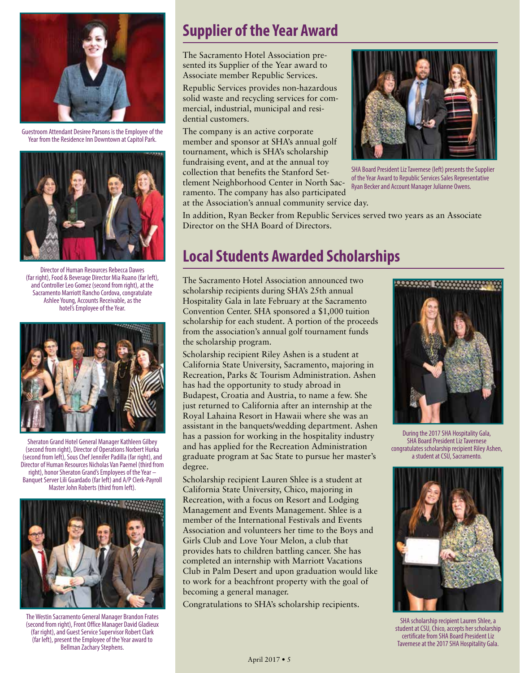

Guestroom Attendant Desiree Parsons is the Employee of the Year from the Residence Inn Downtown at Capitol Park.



Director of Human Resources Rebecca Dawes (far right), Food & Beverage Director Mia Ruano (far left), and Controller Leo Gomez (second from right), at the Sacramento Marriott Rancho Cordova, congratulate Ashlee Young, Accounts Receivable, as the hotel's Employee of the Year.



Sheraton Grand Hotel General Manager Kathleen Gilbey (second from right), Director of Operations Norbert Hurka (second from left), Sous Chef Jennifer Padilla (far right), and Director of Human Resources Nicholas Van Paemel (third from right), honor Sheraton Grand's Employees of the Year – Banquet Server Lili Guardado (far left) and A/P Clerk-Payroll Master John Roberts (third from left).



The Westin Sacramento General Manager Brandon Frates (second from right), Front Office Manager David Gladieux (far right), and Guest Service Supervisor Robert Clark (far left), present the Employee of the Year award to Bellman Zachary Stephens.

## **Supplier of the Year Award**

The Sacramento Hotel Association presented its Supplier of the Year award to Associate member Republic Services.

Republic Services provides non-hazardous solid waste and recycling services for commercial, industrial, municipal and residential customers.

The company is an active corporate member and sponsor at SHA's annual golf tournament, which is SHA's scholarship fundraising event, and at the annual toy collection that benefits the Stanford Settlement Neighborhood Center in North Sacramento. The company has also participated at the Association's annual community service day.



SHA Board President Liz Tavernese (left) presents the Supplier of the Year Award to Republic Services Sales Representative Ryan Becker and Account Manager Julianne Owens.

In addition, Ryan Becker from Republic Services served two years as an Associate Director on the SHA Board of Directors.

## **Local Students Awarded Scholarships**

The Sacramento Hotel Association announced two scholarship recipients during SHA's 25th annual Hospitality Gala in late February at the Sacramento Convention Center. SHA sponsored a \$1,000 tuition scholarship for each student. A portion of the proceeds from the association's annual golf tournament funds the scholarship program.

Scholarship recipient Riley Ashen is a student at California State University, Sacramento, majoring in Recreation, Parks & Tourism Administration. Ashen has had the opportunity to study abroad in Budapest, Croatia and Austria, to name a few. She just returned to California after an internship at the Royal Lahaina Resort in Hawaii where she was an assistant in the banquets/wedding department. Ashen has a passion for working in the hospitality industry and has applied for the Recreation Administration graduate program at Sac State to pursue her master's degree.

Scholarship recipient Lauren Shlee is a student at California State University, Chico, majoring in Recreation, with a focus on Resort and Lodging Management and Events Management. Shlee is a member of the International Festivals and Events Association and volunteers her time to the Boys and Girls Club and Love Your Melon, a club that provides hats to children battling cancer. She has completed an internship with Marriott Vacations Club in Palm Desert and upon graduation would like to work for a beachfront property with the goal of becoming a general manager.

Congratulations to SHA's scholarship recipients.



During the 2017 SHA Hospitality Gala, SHA Board President Liz Tavernese congratulates scholarship recipient Riley Ashen, a student at CSU, Sacramento.



SHA scholarship recipient Lauren Shlee, a student at CSU, Chico, accepts her scholarship certificate from SHA Board President Liz Tavernese at the 2017 SHA Hospitality Gala.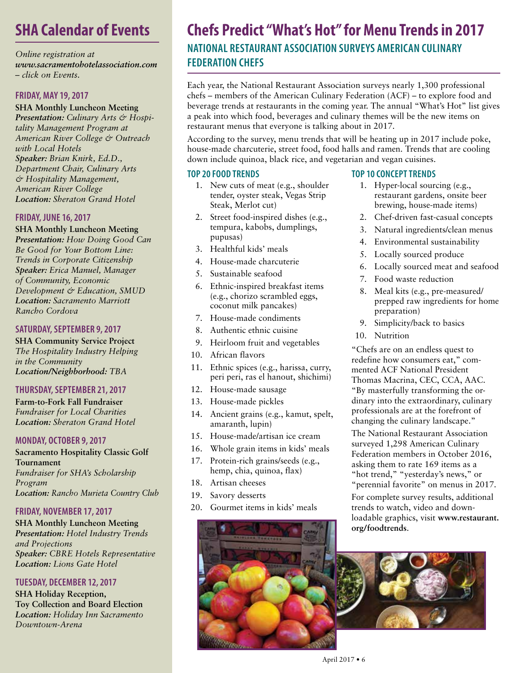## **SHA Calendar of Events**

*Online registration at www.sacramentohotelassociation.com – click on Events.*

#### **FRIDAY, MAY 19, 2017**

**SHA Monthly Luncheon Meeting** *Presentation: Culinary Arts & Hospitality Management Program at American River College & Outreach with Local Hotels Speaker: Brian Knirk, Ed.D., Department Chair, Culinary Arts & Hospitality Management, American River College Location: Sheraton Grand Hotel*

## **FRIDAY, JUNE 16, 2017**

**SHA Monthly Luncheon Meeting** *Presentation: How Doing Good Can Be Good for Your Bottom Line: Trends in Corporate Citizenship Speaker: Erica Manuel, Manager of Community, Economic Development & Education, SMUD Location: Sacramento Marriott Rancho Cordova*

#### **SATURDAY, SEPTEMBER 9, 2017**

**SHA Community Service Project** *The Hospitality Industry Helping in the Community Location/Neighborhood: TBA*

#### **THURSDAY, SEPTEMBER 21, 2017**

**Farm-to-Fork Fall Fundraiser** *Fundraiser for Local Charities Location: Sheraton Grand Hotel*

#### **MONDAY, OCTOBER 9, 2017**

**Sacramento Hospitality Classic Golf Tournament** *Fundraiser for SHA's Scholarship Program Location: Rancho Murieta Country Club*

## **FRIDAY, NOVEMBER 17, 2017**

**SHA Monthly Luncheon Meeting**

*Presentation: Hotel Industry Trends and Projections Speaker: CBRE Hotels Representative Location: Lions Gate Hotel*

## **TUESDAY, DECEMBER 12, 2017**

**SHA Holiday Reception, Toy Collection and Board Election** *Location: Holiday Inn Sacramento Downtown-Arena*

## **Chefs Predict "What's Hot" for Menu Trends in 2017 NATIONAL RESTAURANT ASSOCIATION SURVEYS AMERICAN CULINARY FEDERATION CHEFS**

Each year, the National Restaurant Association surveys nearly 1,300 professional chefs – members of the American Culinary Federation (ACF) – to explore food and beverage trends at restaurants in the coming year. The annual "What's Hot" list gives a peak into which food, beverages and culinary themes will be the new items on restaurant menus that everyone is talking about in 2017.

According to the survey, menu trends that will be heating up in 2017 include poke, house-made charcuterie, street food, food halls and ramen. Trends that are cooling down include quinoa, black rice, and vegetarian and vegan cuisines.

## **TOP 20 FOOD TRENDS**

- 1. New cuts of meat (e.g., shoulder tender, oyster steak, Vegas Strip Steak, Merlot cut)
- 2. Street food-inspired dishes (e.g., tempura, kabobs, dumplings, pupusas)
- 3. Healthful kids' meals
- 4. House-made charcuterie
- 5. Sustainable seafood
- 6. Ethnic-inspired breakfast items (e.g., chorizo scrambled eggs, coconut milk pancakes)
- 7. House-made condiments
- 8. Authentic ethnic cuisine
- 9. Heirloom fruit and vegetables
- 10. African flavors
- 11. Ethnic spices (e.g., harissa, curry, peri peri, ras el hanout, shichimi)
- 12. House-made sausage
- 13. House-made pickles
- 14. Ancient grains (e.g., kamut, spelt, amaranth, lupin)
- 15. House-made/artisan ice cream
- 16. Whole grain items in kids' meals
- 17. Protein-rich grains/seeds (e.g., hemp, chia, quinoa, flax)
- 18. Artisan cheeses
- 19. Savory desserts
- 20. Gourmet items in kids' meals



## **TOP 10 CONCEPT TRENDS**

- 1. Hyper-local sourcing (e.g., restaurant gardens, onsite beer brewing, house-made items)
- 2. Chef-driven fast-casual concepts
- 3. Natural ingredients/clean menus
- 4. Environmental sustainability
- 5. Locally sourced produce
- 6. Locally sourced meat and seafood
- 7. Food waste reduction
- 8. Meal kits (e.g., pre-measured/ prepped raw ingredients for home preparation)
- 9. Simplicity/back to basics
- 10. Nutrition

"Chefs are on an endless quest to redefine how consumers eat," commented ACF National President Thomas Macrina, CEC, CCA, AAC. "By masterfully transforming the ordinary into the extraordinary, culinary professionals are at the forefront of changing the culinary landscape."

The National Restaurant Association surveyed 1,298 American Culinary Federation members in October 2016, asking them to rate 169 items as a "hot trend," "yesterday's news," or "perennial favorite" on menus in 2017.

For complete survey results, additional trends to watch, video and downloadable graphics, visit **www.restaurant. org/foodtrends**.

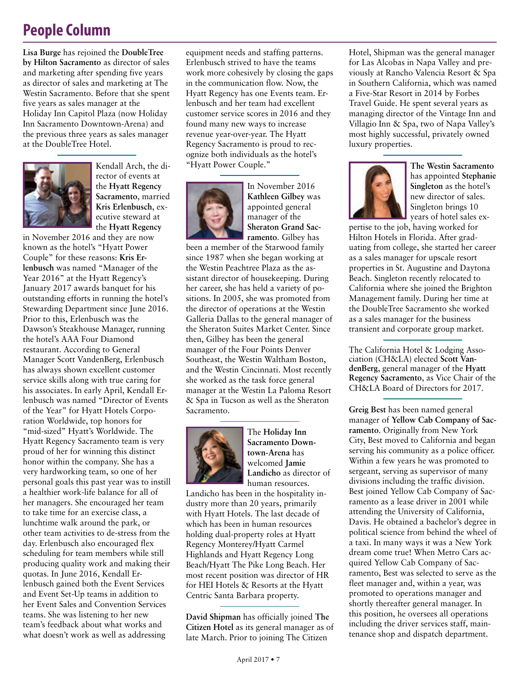## **People Column**

**Lisa Burge** has rejoined the **DoubleTree by Hilton Sacramento** as director of sales and marketing after spending five years as director of sales and marketing at The Westin Sacramento. Before that she spent five years as sales manager at the Holiday Inn Capitol Plaza (now Holiday Inn Sacramento Downtown-Arena) and the previous three years as sales manager at the DoubleTree Hotel.



Kendall Arch, the director of events at the **Hyatt Regency Sacramento**, married **Kris Erlenbusch**, executive steward at the **Hyatt Regency**

in November 2016 and they are now known as the hotel's "Hyatt Power Couple" for these reasons: **Kris Erlenbusch** was named "Manager of the Year 2016" at the Hyatt Regency's January 2017 awards banquet for his outstanding efforts in running the hotel's Stewarding Department since June 2016. Prior to this, Erlenbusch was the Dawson's Steakhouse Manager, running the hotel's AAA Four Diamond restaurant. According to General Manager Scott VandenBerg, Erlenbusch has always shown excellent customer service skills along with true caring for his associates. In early April, Kendall Erlenbusch was named "Director of Events of the Year" for Hyatt Hotels Corporation Worldwide, top honors for "mid-sized" Hyatt's Worldwide. The Hyatt Regency Sacramento team is very proud of her for winning this distinct honor within the company. She has a very hardworking team, so one of her personal goals this past year was to instill a healthier work-life balance for all of her managers. She encouraged her team to take time for an exercise class, a lunchtime walk around the park, or other team activities to de-stress from the day. Erlenbusch also encouraged flex scheduling for team members while still producing quality work and making their quotas. In June 2016, Kendall Erlenbusch gained both the Event Services and Event Set-Up teams in addition to her Event Sales and Convention Services teams. She was listening to her new team's feedback about what works and what doesn't work as well as addressing

equipment needs and staffing patterns. Erlenbusch strived to have the teams work more cohesively by closing the gaps in the communication flow. Now, the Hyatt Regency has one Events team. Erlenbusch and her team had excellent customer service scores in 2016 and they found many new ways to increase revenue year-over-year. The Hyatt Regency Sacramento is proud to recognize both individuals as the hotel's "Hyatt Power Couple."



In November 2016 **Kathleen Gilbey** was appointed general manager of the **Sheraton Grand Sacramento**. Gilbey has

been a member of the Starwood family since 1987 when she began working at the Westin Peachtree Plaza as the assistant director of housekeeping. During her career, she has held a variety of positions. In 2005, she was promoted from the director of operations at the Westin Galleria Dallas to the general manager of the Sheraton Suites Market Center. Since then, Gilbey has been the general manager of the Four Points Denver Southeast, the Westin Waltham Boston, and the Westin Cincinnati. Most recently she worked as the task force general manager at the Westin La Paloma Resort & Spa in Tucson as well as the Sheraton Sacramento.



The **Holiday Inn Sacramento Downtown-Arena** has welcomed **Jamie Landicho** as director of human resources.

Landicho has been in the hospitality industry more than 20 years, primarily with Hyatt Hotels. The last decade of which has been in human resources holding dual-property roles at Hyatt Regency Monterey/Hyatt Carmel Highlands and Hyatt Regency Long Beach/Hyatt The Pike Long Beach. Her most recent position was director of HR for HEI Hotels & Resorts at the Hyatt Centric Santa Barbara property.

**David Shipman** has officially joined **The Citizen Hotel** as its general manager as of late March. Prior to joining The Citizen

Hotel, Shipman was the general manager for Las Alcobas in Napa Valley and previously at Rancho Valencia Resort & Spa in Southern California, which was named a Five-Star Resort in 2014 by Forbes Travel Guide. He spent several years as managing director of the Vintage Inn and Villagio Inn & Spa, two of Napa Valley's most highly successful, privately owned luxury properties.



**The Westin Sacramento** has appointed **Stephanie Singleton** as the hotel's new director of sales. Singleton brings 10 years of hotel sales ex-

pertise to the job, having worked for Hilton Hotels in Florida. After graduating from college, she started her career as a sales manager for upscale resort properties in St. Augustine and Daytona Beach. Singleton recently relocated to California where she joined the Brighton Management family. During her time at the DoubleTree Sacramento she worked as a sales manager for the business transient and corporate group market.

The California Hotel & Lodging Association (CH&LA) elected **Scott VandenBerg**, general manager of the **Hyatt Regency Sacramento**, as Vice Chair of the CH&LA Board of Directors for 2017.

**Greig Best** has been named general manager of **Yellow Cab Company of Sacramento**. Originally from New York City, Best moved to California and began serving his community as a police officer. Within a few years he was promoted to sergeant, serving as supervisor of many divisions including the traffic division. Best joined Yellow Cab Company of Sacramento as a lease driver in 2001 while attending the University of California, Davis. He obtained a bachelor's degree in political science from behind the wheel of a taxi. In many ways it was a New York dream come true! When Metro Cars acquired Yellow Cab Company of Sacramento, Best was selected to serve as the fleet manager and, within a year, was promoted to operations manager and shortly thereafter general manager. In this position, he oversees all operations including the driver services staff, maintenance shop and dispatch department.